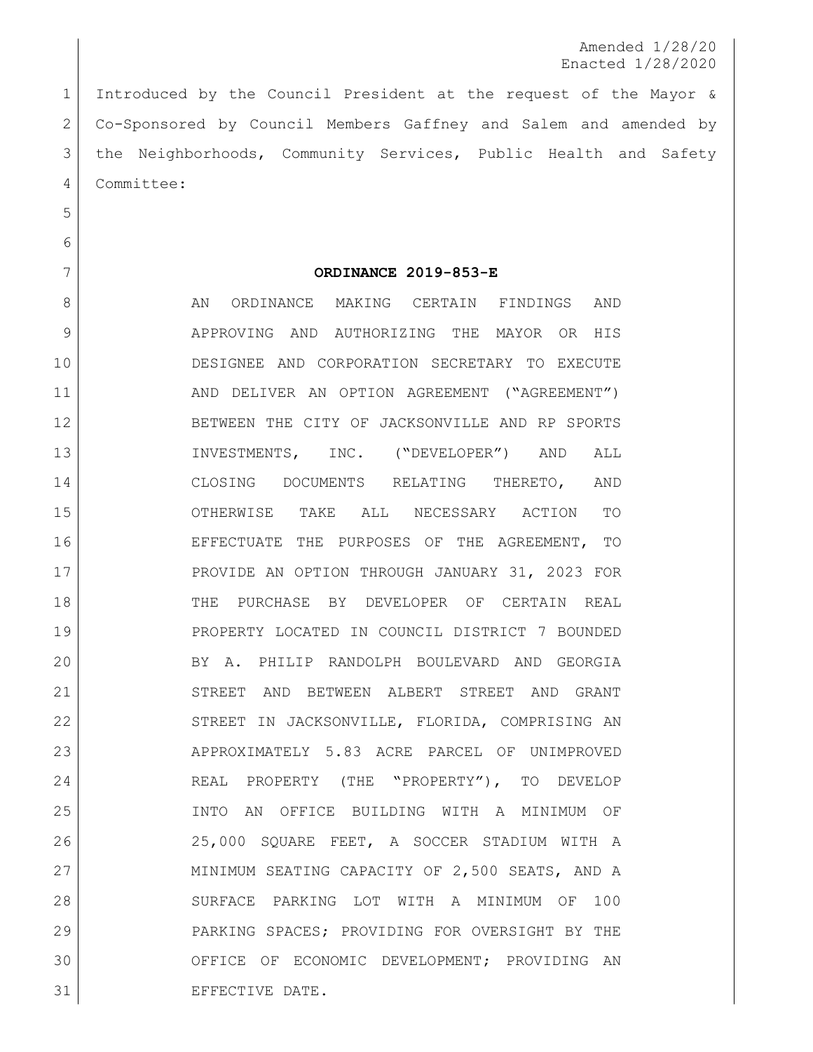Amended 1/28/20 Enacted 1/28/2020

 Introduced by the Council President at the request of the Mayor & Co-Sponsored by Council Members Gaffney and Salem and amended by the Neighborhoods, Community Services, Public Health and Safety Committee:

**ORDINANCE 2019-853-E**

8 AN ORDINANCE MAKING CERTAIN FINDINGS AND APPROVING AND AUTHORIZING THE MAYOR OR HIS DESIGNEE AND CORPORATION SECRETARY TO EXECUTE AND DELIVER AN OPTION AGREEMENT ("AGREEMENT") BETWEEN THE CITY OF JACKSONVILLE AND RP SPORTS INVESTMENTS, INC. ("DEVELOPER") AND ALL CLOSING DOCUMENTS RELATING THERETO, AND OTHERWISE TAKE ALL NECESSARY ACTION TO EFFECTUATE THE PURPOSES OF THE AGREEMENT, TO PROVIDE AN OPTION THROUGH JANUARY 31, 2023 FOR THE PURCHASE BY DEVELOPER OF CERTAIN REAL PROPERTY LOCATED IN COUNCIL DISTRICT 7 BOUNDED BY A. PHILIP RANDOLPH BOULEVARD AND GEORGIA STREET AND BETWEEN ALBERT STREET AND GRANT 22 STREET IN JACKSONVILLE, FLORIDA, COMPRISING AN 23 APPROXIMATELY 5.83 ACRE PARCEL OF UNIMPROVED 24 REAL PROPERTY (THE "PROPERTY"), TO DEVELOP INTO AN OFFICE BUILDING WITH A MINIMUM OF 25,000 SQUARE FEET, A SOCCER STADIUM WITH A 27 MINIMUM SEATING CAPACITY OF 2,500 SEATS, AND A SURFACE PARKING LOT WITH A MINIMUM OF 100 PARKING SPACES; PROVIDING FOR OVERSIGHT BY THE OFFICE OF ECONOMIC DEVELOPMENT; PROVIDING AN 31 EFFECTIVE DATE.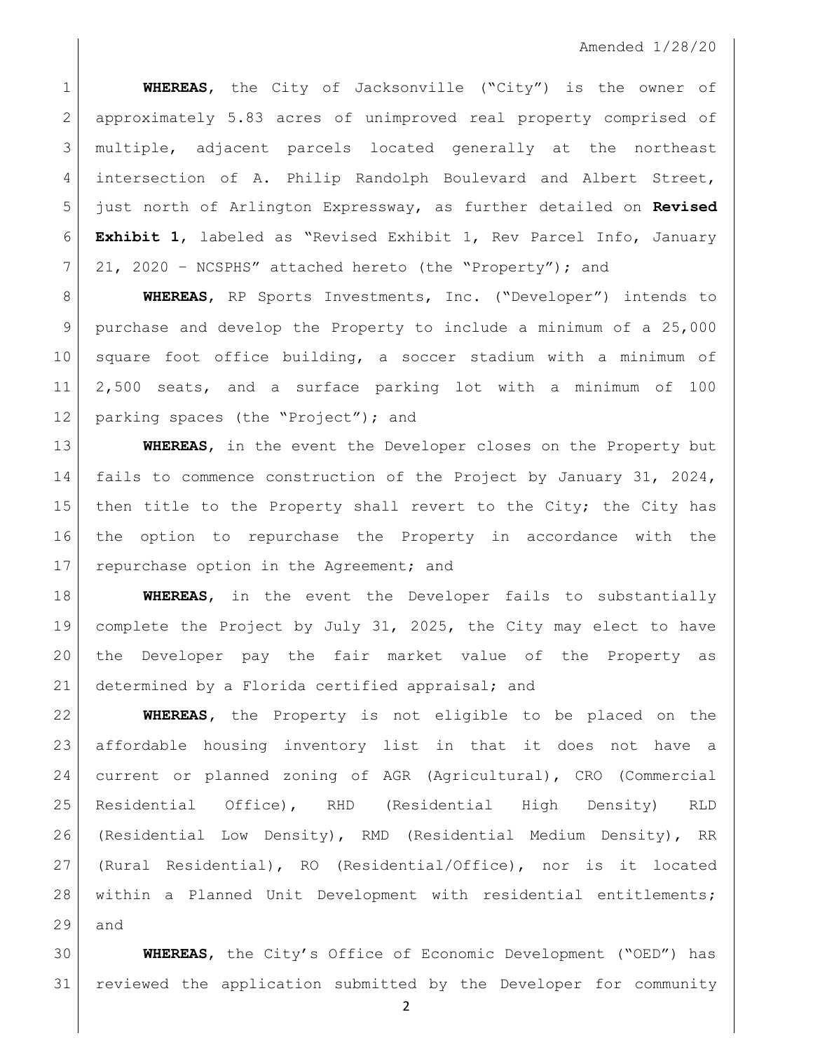**WHEREAS**, the City of Jacksonville ("City") is the owner of approximately 5.83 acres of unimproved real property comprised of multiple, adjacent parcels located generally at the northeast 4 intersection of A. Philip Randolph Boulevard and Albert Street, just north of Arlington Expressway, as further detailed on **Revised Exhibit 1**, labeled as "Revised Exhibit 1, Rev Parcel Info, January 21, 2020 – NCSPHS" attached hereto (the "Property"); and

 **WHEREAS**, RP Sports Investments, Inc. ("Developer") intends to purchase and develop the Property to include a minimum of a 25,000 square foot office building, a soccer stadium with a minimum of 2,500 seats, and a surface parking lot with a minimum of 100 12 parking spaces (the "Project"); and

 **WHEREAS**, in the event the Developer closes on the Property but fails to commence construction of the Project by January 31, 2024, 15 then title to the Property shall revert to the City; the City has the option to repurchase the Property in accordance with the 17 repurchase option in the Agreement; and

 **WHEREAS**, in the event the Developer fails to substantially complete the Project by July 31, 2025, the City may elect to have the Developer pay the fair market value of the Property as 21 determined by a Florida certified appraisal; and

 **WHEREAS,** the Property is not eligible to be placed on the affordable housing inventory list in that it does not have a current or planned zoning of AGR (Agricultural), CRO (Commercial Residential Office), RHD (Residential High Density) RLD 26 | (Residential Low Density), RMD (Residential Medium Density), RR (Rural Residential), RO (Residential/Office), nor is it located 28 | within a Planned Unit Development with residential entitlements; and

 **WHEREAS**, the City's Office of Economic Development ("OED") has reviewed the application submitted by the Developer for community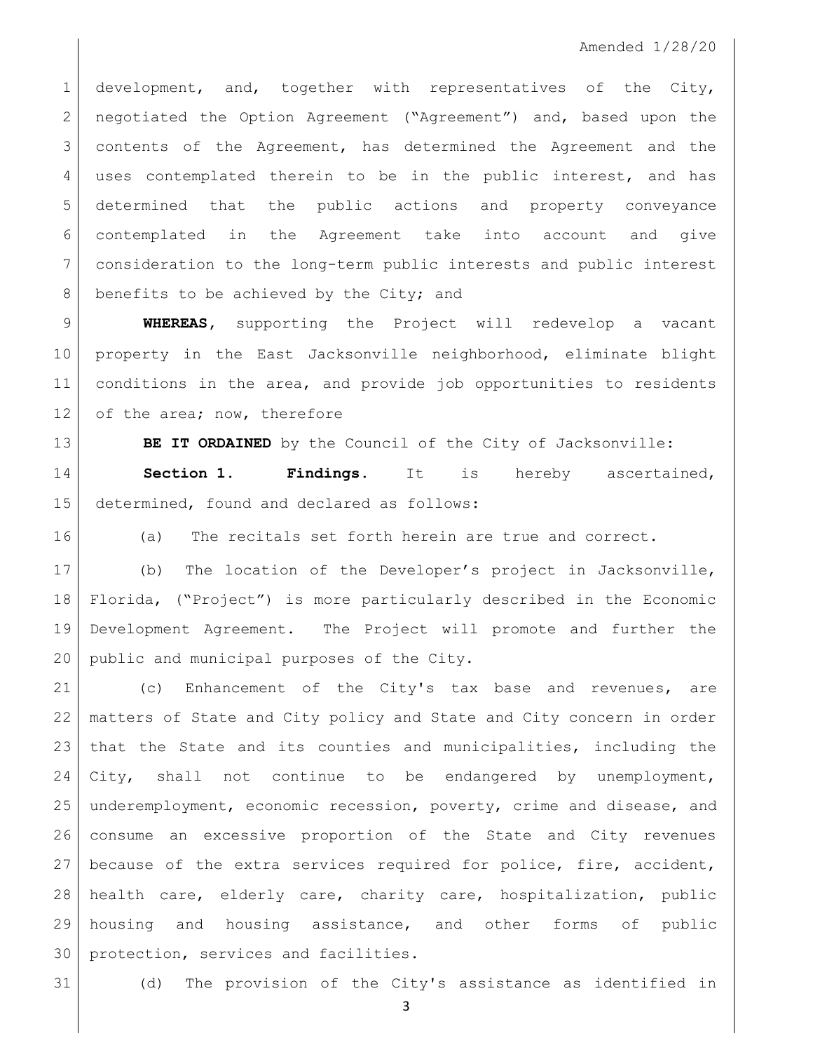1 development, and, together with representatives of the City, 2 | negotiated the Option Agreement ("Agreement") and, based upon the contents of the Agreement, has determined the Agreement and the uses contemplated therein to be in the public interest, and has determined that the public actions and property conveyance contemplated in the Agreement take into account and give consideration to the long-term public interests and public interest 8 benefits to be achieved by the City; and

 **WHEREAS,** supporting the Project will redevelop a vacant property in the East Jacksonville neighborhood, eliminate blight conditions in the area, and provide job opportunities to residents 12 of the area; now, therefore

**BE IT ORDAINED** by the Council of the City of Jacksonville:

 **Section 1. Findings.** It is hereby ascertained, determined, found and declared as follows:

(a) The recitals set forth herein are true and correct.

 (b) The location of the Developer's project in Jacksonville, Florida, ("Project") is more particularly described in the Economic Development Agreement. The Project will promote and further the public and municipal purposes of the City.

 (c) Enhancement of the City's tax base and revenues, are matters of State and City policy and State and City concern in order that the State and its counties and municipalities, including the 24 City, shall not continue to be endangered by unemployment, underemployment, economic recession, poverty, crime and disease, and consume an excessive proportion of the State and City revenues because of the extra services required for police, fire, accident, health care, elderly care, charity care, hospitalization, public housing and housing assistance, and other forms of public protection, services and facilities.

(d) The provision of the City's assistance as identified in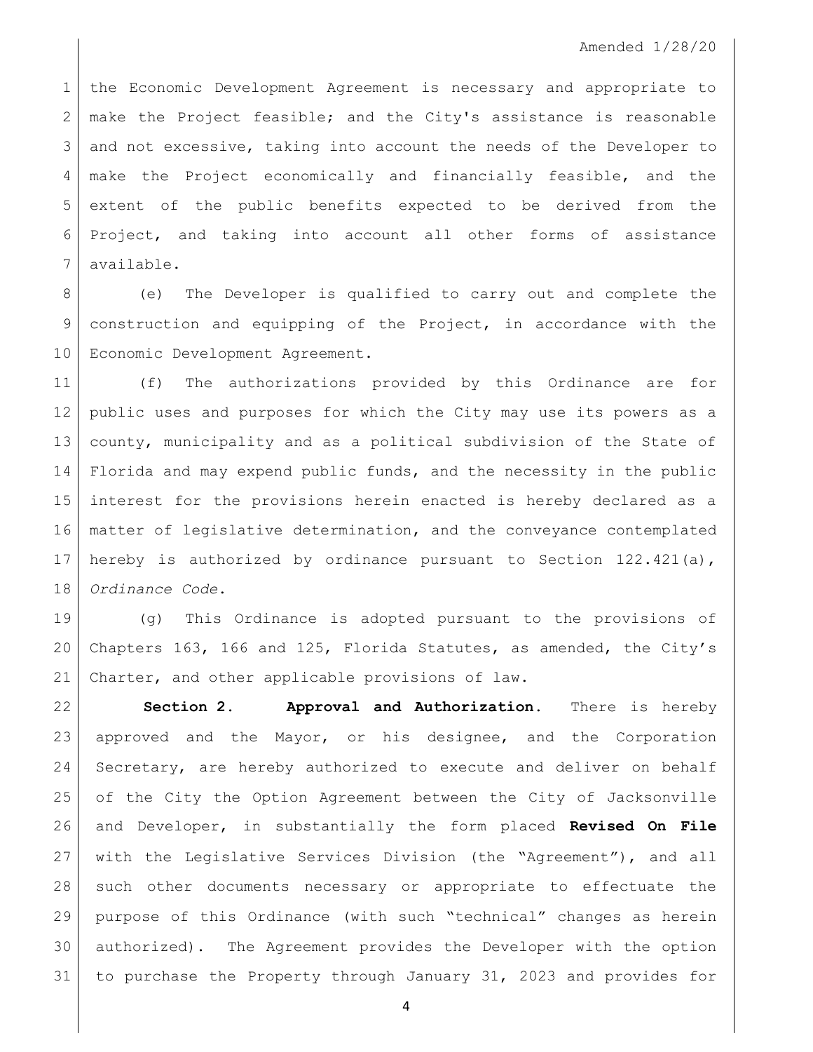the Economic Development Agreement is necessary and appropriate to  $2 \mid$  make the Project feasible; and the City's assistance is reasonable and not excessive, taking into account the needs of the Developer to make the Project economically and financially feasible, and the extent of the public benefits expected to be derived from the Project, and taking into account all other forms of assistance available.

8 (e) The Developer is qualified to carry out and complete the 9 construction and equipping of the Project, in accordance with the 10 | Economic Development Agreement.

 (f) The authorizations provided by this Ordinance are for public uses and purposes for which the City may use its powers as a county, municipality and as a political subdivision of the State of Florida and may expend public funds, and the necessity in the public interest for the provisions herein enacted is hereby declared as a matter of legislative determination, and the conveyance contemplated 17 hereby is authorized by ordinance pursuant to Section  $122.421(a)$ , *Ordinance Code*.

 (g) This Ordinance is adopted pursuant to the provisions of Chapters 163, 166 and 125, Florida Statutes, as amended, the City's Charter, and other applicable provisions of law.

 **Section 2. Approval and Authorization.** There is hereby 23 approved and the Mayor, or his designee, and the Corporation 24 Secretary, are hereby authorized to execute and deliver on behalf of the City the Option Agreement between the City of Jacksonville and Developer, in substantially the form placed **Revised On File** with the Legislative Services Division (the "Agreement"), and all 28 such other documents necessary or appropriate to effectuate the purpose of this Ordinance (with such "technical" changes as herein authorized). The Agreement provides the Developer with the option to purchase the Property through January 31, 2023 and provides for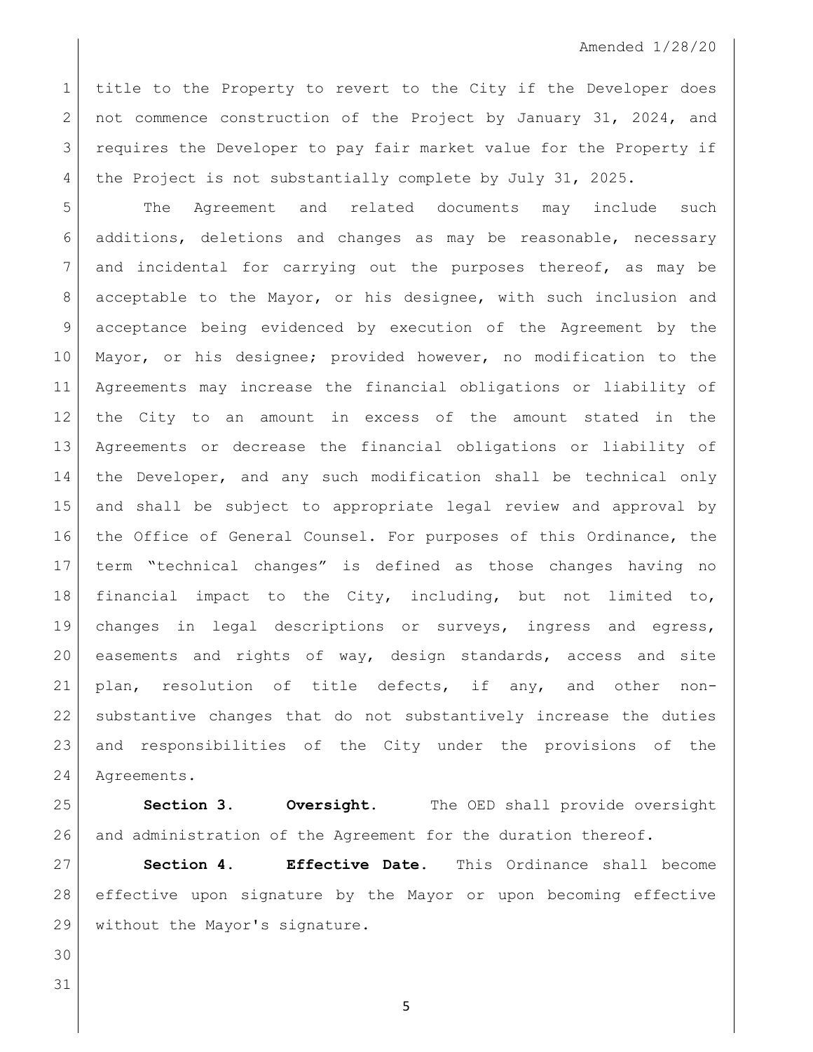title to the Property to revert to the City if the Developer does 2 not commence construction of the Project by January 31, 2024, and requires the Developer to pay fair market value for the Property if 4 the Project is not substantially complete by July 31, 2025.

 The Agreement and related documents may include such additions, deletions and changes as may be reasonable, necessary and incidental for carrying out the purposes thereof, as may be acceptable to the Mayor, or his designee, with such inclusion and acceptance being evidenced by execution of the Agreement by the Mayor, or his designee; provided however, no modification to the Agreements may increase the financial obligations or liability of the City to an amount in excess of the amount stated in the Agreements or decrease the financial obligations or liability of the Developer, and any such modification shall be technical only and shall be subject to appropriate legal review and approval by the Office of General Counsel. For purposes of this Ordinance, the term "technical changes" is defined as those changes having no financial impact to the City, including, but not limited to, changes in legal descriptions or surveys, ingress and egress, easements and rights of way, design standards, access and site plan, resolution of title defects, if any, and other non- substantive changes that do not substantively increase the duties and responsibilities of the City under the provisions of the Agreements.

 **Section 3. Oversight.** The OED shall provide oversight and administration of the Agreement for the duration thereof.

 **Section 4. Effective Date.** This Ordinance shall become effective upon signature by the Mayor or upon becoming effective without the Mayor's signature.